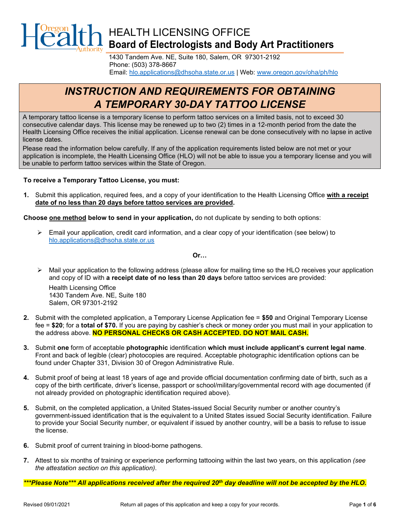

1430 Tandem Ave. NE, Suite 180, Salem, OR 97301-2192 Phone: (503) 378-8667 Email: [hlo.applications@dhsoha.state.or.us](mailto:hlo.applications@dhsoha.state.or.us) | Web: [www.oregon.gov/oha/ph/hlo](https://www.oregon.gov/oha/ph/hlo/Pages/index.aspx)

# *INSTRUCTION AND REQUIREMENTS FOR OBTAINING A TEMPORARY 30-DAY TATTOO LICENSE*

A temporary tattoo license is a temporary license to perform tattoo services on a limited basis, not to exceed 30 consecutive calendar days. This license may be renewed up to two (2) times in a 12-month period from the date the Health Licensing Office receives the initial application. License renewal can be done consecutively with no lapse in active license dates.

Please read the information below carefully. If any of the application requirements listed below are not met or your application is incomplete, the Health Licensing Office (HLO) will not be able to issue you a temporary license and you will be unable to perform tattoo services within the State of Oregon.

#### **To receive a Temporary Tattoo License, you must:**

**1.** Submit this application, required fees, and a copy of your identification to the Health Licensing Office **with a receipt date of no less than 20 days before tattoo services are provided.**

**Choose one method below to send in your application,** do not duplicate by sending to both options:

¾ Email your application, credit card information, and a clear copy of your identification (see below) to [hlo.applications@dhsoha.state.or.us](mailto:hlo.applications@dhsoha.state.or.us)

**Or…**

 $\triangleright$  Mail your application to the following address (please allow for mailing time so the HLO receives your application and copy of ID with **a receipt date of no less than 20 days** before tattoo services are provided:

Health Licensing Office 1430 Tandem Ave. NE, Suite 180 Salem, OR 97301-2192

- **2.** Submit with the completed application, a Temporary License Application fee = **\$50** and Original Temporary License fee = **\$20**; for a **total of \$70.** If you are paying by cashier's check or money order you must mail in your application to the address above. **NO PERSONAL CHECKS OR CASH ACCEPTED. DO NOT MAIL CASH.**
- **3.** Submit **one** form of acceptable **photographic** identification **which must include applicant's current legal name**. Front and back of legible (clear) photocopies are required. Acceptable photographic identification options can be found under Chapter 331, Division 30 of Oregon Administrative Rule.
- **4.** Submit proof of being at least 18 years of age and provide official documentation confirming date of birth, such as a copy of the birth certificate, driver's license, passport or school/military/governmental record with age documented (if not already provided on photographic identification required above).
- **5.** Submit, on the completed application, a United States-issued Social Security number or another country's government-issued identification that is the equivalent to a United States issued Social Security identification. Failure to provide your Social Security number, or equivalent if issued by another country, will be a basis to refuse to issue the license.
- **6.** Submit proof of current training in blood-borne pathogens.
- **7.** Attest to six months of training or experience performing tattooing within the last two years, on this application *(see the attestation section on this application)*.

*\*\*\*Please Note\*\*\* All applications received after the required 20th day deadline will not be accepted by the HLO.*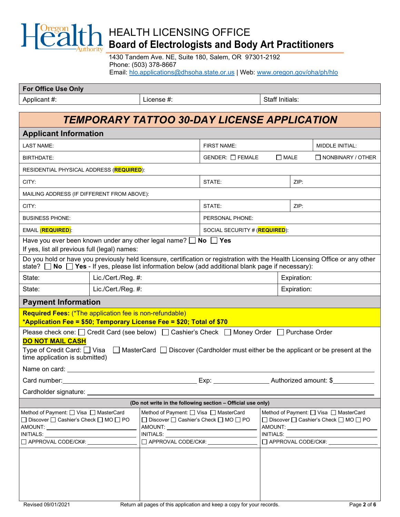

1430 Tandem Ave. NE, Suite 180, Salem, OR 97301-2192 Phone: (503) 378-8667 Email: [hlo.applications@dhsoha.state.or.us](mailto:hlo.applications@dhsoha.state.or.us) | Web: [www.oregon.gov/oha/ph/hlo](https://www.oregon.gov/oha/ph/hlo/Pages/index.aspx)

| <b>For Office Use Only</b> |            |                        |
|----------------------------|------------|------------------------|
| Applicant #:               | License #: | <b>Staff Initials:</b> |

## *TEMPORARY TATTOO 30-DAY LICENSE APPLICATION*

| <b>Applicant Information</b>                                                                                                                                                                                                                                                                                                                                                                                            |                    |                                                                                                                                                                                                                                       |                                                                        |                                                                                                                |             |                                                                                                                   |
|-------------------------------------------------------------------------------------------------------------------------------------------------------------------------------------------------------------------------------------------------------------------------------------------------------------------------------------------------------------------------------------------------------------------------|--------------------|---------------------------------------------------------------------------------------------------------------------------------------------------------------------------------------------------------------------------------------|------------------------------------------------------------------------|----------------------------------------------------------------------------------------------------------------|-------------|-------------------------------------------------------------------------------------------------------------------|
| <b>LAST NAME:</b>                                                                                                                                                                                                                                                                                                                                                                                                       |                    |                                                                                                                                                                                                                                       | <b>FIRST NAME:</b>                                                     |                                                                                                                |             | MIDDLE INITIAL:                                                                                                   |
| BIRTHDATE:                                                                                                                                                                                                                                                                                                                                                                                                              |                    |                                                                                                                                                                                                                                       | $GENDER: \Box$ FEMALE                                                  | $\Box$ MALE                                                                                                    |             | $\Box$ NONBINARY / OTHER                                                                                          |
| RESIDENTIAL PHYSICAL ADDRESS (REQUIRED):                                                                                                                                                                                                                                                                                                                                                                                |                    |                                                                                                                                                                                                                                       |                                                                        |                                                                                                                |             |                                                                                                                   |
| CITY:                                                                                                                                                                                                                                                                                                                                                                                                                   |                    |                                                                                                                                                                                                                                       | STATE:                                                                 |                                                                                                                | ZIP:        |                                                                                                                   |
| MAILING ADDRESS (IF DIFFERENT FROM ABOVE):                                                                                                                                                                                                                                                                                                                                                                              |                    |                                                                                                                                                                                                                                       |                                                                        |                                                                                                                |             |                                                                                                                   |
| CITY:                                                                                                                                                                                                                                                                                                                                                                                                                   |                    |                                                                                                                                                                                                                                       | STATE:                                                                 | ZIP:                                                                                                           |             |                                                                                                                   |
| <b>BUSINESS PHONE:</b>                                                                                                                                                                                                                                                                                                                                                                                                  |                    |                                                                                                                                                                                                                                       | PERSONAL PHONE:                                                        |                                                                                                                |             |                                                                                                                   |
| EMAIL (REQUIRED):                                                                                                                                                                                                                                                                                                                                                                                                       |                    | SOCIAL SECURITY # (REQUIRED):                                                                                                                                                                                                         |                                                                        |                                                                                                                |             |                                                                                                                   |
| Have you ever been known under any other legal name? $\Box$ No $\Box$ Yes<br>If yes, list all previous full (legal) names:                                                                                                                                                                                                                                                                                              |                    |                                                                                                                                                                                                                                       |                                                                        |                                                                                                                |             |                                                                                                                   |
| Do you hold or have you previously held licensure, certification or registration with the Health Licensing Office or any other<br>state? $\Box$ No $\Box$ Yes - If yes, please list information below (add additional blank page if necessary):                                                                                                                                                                         |                    |                                                                                                                                                                                                                                       |                                                                        |                                                                                                                |             |                                                                                                                   |
| State:                                                                                                                                                                                                                                                                                                                                                                                                                  | Lic./Cert./Reg. #: |                                                                                                                                                                                                                                       |                                                                        |                                                                                                                | Expiration: |                                                                                                                   |
| Lic./Cert./Reg. #:<br>State:                                                                                                                                                                                                                                                                                                                                                                                            |                    |                                                                                                                                                                                                                                       |                                                                        |                                                                                                                | Expiration: |                                                                                                                   |
| <b>Payment Information</b>                                                                                                                                                                                                                                                                                                                                                                                              |                    |                                                                                                                                                                                                                                       |                                                                        |                                                                                                                |             |                                                                                                                   |
| <b>Required Fees:</b> (*The application fee is non-refundable)<br>*Application Fee = \$50; Temporary License Fee = \$20; Total of \$70                                                                                                                                                                                                                                                                                  |                    |                                                                                                                                                                                                                                       |                                                                        |                                                                                                                |             |                                                                                                                   |
| Please check one: □ Credit Card (see below) □ Cashier's Check □ Money Order □ Purchase Order<br><b>DO NOT MAIL CASH</b><br>Type of Credit Card: $\Box$ Visa $\Box$ MasterCard $\Box$ Discover (Cardholder must either be the applicant or be present at the<br>time application is submitted)<br>Name on card: <u>contract and contract and contract and contract and contract and contract and contract of the set</u> |                    |                                                                                                                                                                                                                                       |                                                                        |                                                                                                                |             |                                                                                                                   |
| Card number: <u>Card number</u> Exp: Exp: Exp: Authorized amount: \$                                                                                                                                                                                                                                                                                                                                                    |                    |                                                                                                                                                                                                                                       |                                                                        |                                                                                                                |             |                                                                                                                   |
| Cardholder signature: _____                                                                                                                                                                                                                                                                                                                                                                                             |                    |                                                                                                                                                                                                                                       |                                                                        |                                                                                                                |             |                                                                                                                   |
| (Do not write in the following section - Official use only)                                                                                                                                                                                                                                                                                                                                                             |                    |                                                                                                                                                                                                                                       |                                                                        |                                                                                                                |             |                                                                                                                   |
| Method of Payment: □ Visa □ MasterCard<br>□ Discover □ Cashier's Check □ MO □ PO<br>AMOUNT:<br>INITIALS: And the state of the state of the state of the state of the state of the state of the state of the s<br>□ APPROVAL CODE/CK#:                                                                                                                                                                                   |                    | Method of Payment: □ Visa □ MasterCard<br>□ Discover □ Cashier's Check □ MO □ PO<br>AMOUNT: _<br>INITIALS: And the state of the state of the state of the state of the state of the state of the state of the s<br>APPROVAL CODE/CK#: |                                                                        | INITIALS: And the state of the state of the state of the state of the state of the state of the state of the s |             | Method of Payment: □ Visa □ MasterCard<br>□ Discover □ Cashier's Check □ MO □ PO<br>AMOUNT:<br>APPROVAL CODE/CK#: |
| Revised 09/01/2021                                                                                                                                                                                                                                                                                                                                                                                                      |                    |                                                                                                                                                                                                                                       | Return all pages of this application and keep a copy for your records. |                                                                                                                |             | Page 2 of 6                                                                                                       |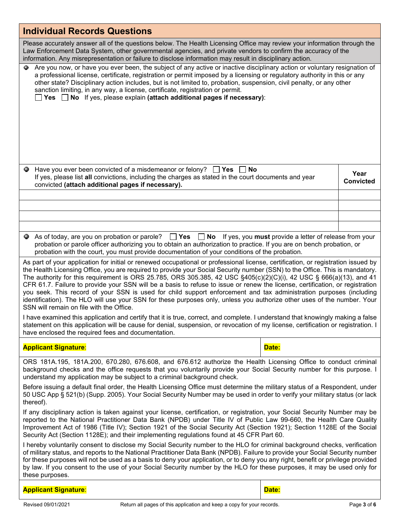| <b>Individual Records Questions</b>                                                                                                                                                                                                                                                                                                                                                                                                                                                                                                                                                                                                                                                                                                                                                                                         |                          |  |  |
|-----------------------------------------------------------------------------------------------------------------------------------------------------------------------------------------------------------------------------------------------------------------------------------------------------------------------------------------------------------------------------------------------------------------------------------------------------------------------------------------------------------------------------------------------------------------------------------------------------------------------------------------------------------------------------------------------------------------------------------------------------------------------------------------------------------------------------|--------------------------|--|--|
| Please accurately answer all of the questions below. The Health Licensing Office may review your information through the<br>Law Enforcement Data System, other governmental agencies, and private vendors to confirm the accuracy of the<br>information. Any misrepresentation or failure to disclose information may result in disciplinary action.                                                                                                                                                                                                                                                                                                                                                                                                                                                                        |                          |  |  |
| Are you now, or have you ever been, the subject of any active or inactive disciplinary action or voluntary resignation of<br>۰<br>a professional license, certificate, registration or permit imposed by a licensing or regulatory authority in this or any<br>other state? Disciplinary action includes, but is not limited to, probation, suspension, civil penalty, or any other<br>sanction limiting, in any way, a license, certificate, registration or permit.<br>Yes $\Box$ No If yes, please explain (attach additional pages if necessary):                                                                                                                                                                                                                                                                       |                          |  |  |
| Have you ever been convicted of a misdemeanor or felony?<br>  Yes  No<br>If yes, please list all convictions, including the charges as stated in the court documents and year<br>convicted (attach additional pages if necessary).                                                                                                                                                                                                                                                                                                                                                                                                                                                                                                                                                                                          | Year<br><b>Convicted</b> |  |  |
|                                                                                                                                                                                                                                                                                                                                                                                                                                                                                                                                                                                                                                                                                                                                                                                                                             |                          |  |  |
|                                                                                                                                                                                                                                                                                                                                                                                                                                                                                                                                                                                                                                                                                                                                                                                                                             |                          |  |  |
|                                                                                                                                                                                                                                                                                                                                                                                                                                                                                                                                                                                                                                                                                                                                                                                                                             |                          |  |  |
| As of today, are you on probation or parole? $\Box$ Yes $\Box$ No If yes, you must provide a letter of release from your<br>probation or parole officer authorizing you to obtain an authorization to practice. If you are on bench probation, or<br>probation with the court, you must provide documentation of your conditions of the probation.                                                                                                                                                                                                                                                                                                                                                                                                                                                                          |                          |  |  |
| As part of your application for initial or renewed occupational or professional license, certification, or registration issued by<br>the Health Licensing Office, you are required to provide your Social Security number (SSN) to the Office. This is mandatory.<br>The authority for this requirement is ORS 25.785, ORS 305.385, 42 USC $§405(c)(2)(C)(i)$ , 42 USC $§666(a)(13)$ , and 41<br>CFR 61.7. Failure to provide your SSN will be a basis to refuse to issue or renew the license, certification, or registration<br>you seek. This record of your SSN is used for child support enforcement and tax administration purposes (including<br>identification). The HLO will use your SSN for these purposes only, unless you authorize other uses of the number. Your<br>SSN will remain on file with the Office. |                          |  |  |
| I have examined this application and certify that it is true, correct, and complete. I understand that knowingly making a false<br>statement on this application will be cause for denial, suspension, or revocation of my license, certification or registration. I<br>have enclosed the required fees and documentation.                                                                                                                                                                                                                                                                                                                                                                                                                                                                                                  |                          |  |  |
| <b>Applicant Signature:</b><br>Date:                                                                                                                                                                                                                                                                                                                                                                                                                                                                                                                                                                                                                                                                                                                                                                                        |                          |  |  |
| ORS 181A.195, 181A.200, 670.280, 676.608, and 676.612 authorize the Health Licensing Office to conduct criminal<br>background checks and the office requests that you voluntarily provide your Social Security number for this purpose. I<br>understand my application may be subject to a criminal background check.                                                                                                                                                                                                                                                                                                                                                                                                                                                                                                       |                          |  |  |
| Before issuing a default final order, the Health Licensing Office must determine the military status of a Respondent, under<br>50 USC App § 521(b) (Supp. 2005). Your Social Security Number may be used in order to verify your military status (or lack<br>thereof).                                                                                                                                                                                                                                                                                                                                                                                                                                                                                                                                                      |                          |  |  |
| If any disciplinary action is taken against your license, certification, or registration, your Social Security Number may be<br>reported to the National Practitioner Data Bank (NPDB) under Title IV of Public Law 99-660, the Health Care Quality<br>Improvement Act of 1986 (Title IV); Section 1921 of the Social Security Act (Section 1921); Section 1128E of the Social<br>Security Act (Section 1128E); and their implementing regulations found at 45 CFR Part 60.                                                                                                                                                                                                                                                                                                                                                 |                          |  |  |
| I hereby voluntarily consent to disclose my Social Security number to the HLO for criminal background checks, verification<br>of military status, and reports to the National Practitioner Data Bank (NPDB). Failure to provide your Social Security number<br>for these purposes will not be used as a basis to deny your application, or to deny you any right, benefit or privilege provided<br>by law. If you consent to the use of your Social Security number by the HLO for these purposes, it may be used only for<br>these purposes.                                                                                                                                                                                                                                                                               |                          |  |  |
| Date:<br><b>Applicant Signature:</b>                                                                                                                                                                                                                                                                                                                                                                                                                                                                                                                                                                                                                                                                                                                                                                                        |                          |  |  |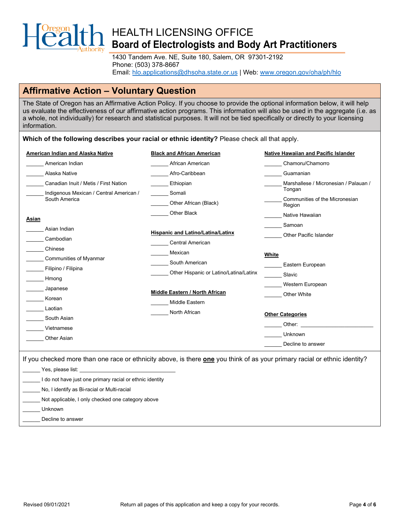

1430 Tandem Ave. NE, Suite 180, Salem, OR 97301-2192 Phone: (503) 378-8667 Email: [hlo.applications@dhsoha.state.or.us](mailto:hlo.applications@dhsoha.state.or.us) | Web: [www.oregon.gov/oha/ph/hlo](https://www.oregon.gov/oha/ph/hlo/Pages/index.aspx)

### **Affirmative Action – Voluntary Question**

The State of Oregon has an Affirmative Action Policy. If you choose to provide the optional information below, it will help us evaluate the effectiveness of our affirmative action programs. This information will also be used in the aggregate (i.e. as a whole, not individually) for research and statistical purposes. It will not be tied specifically or directly to your licensing information.

**Which of the following describes your racial or ethnic identity?** Please check all that apply. **American Indian and Alaska Native** \_\_\_\_\_\_ American Indian \_\_\_\_\_\_ Alaska Native Canadian Inuit / Metis / First Nation Indigenous Mexican / Central American / South America **Asian** \_\_\_\_\_\_ Asian Indian \_\_\_\_\_\_ Cambodian \_\_\_\_\_\_ Chinese \_\_\_\_\_\_ Communities of Myanmar \_\_\_\_\_\_ Filipino / Filipina \_\_\_\_\_\_ Hmong \_\_\_\_\_\_ Japanese \_\_\_\_\_\_ Korean **Laotian** South Asian \_\_\_\_\_\_ Vietnamese \_\_\_\_\_\_ Other Asian **Black and African American** \_\_\_\_\_\_ African American Afro-Caribbean **Ethiopian** \_\_\_\_\_\_ Somali \_\_\_\_\_\_ Other African (Black) \_\_\_\_\_\_ Other Black **Hispanic and Latino/Latina/Latinx** Central American **Mexican** South American \_\_\_\_\_\_ Other Hispanic or Latino/Latina/Latinx **Middle Eastern / North African** \_\_\_\_\_\_ Middle Eastern North African **Native Hawaiian and Pacific Islander** \_\_\_\_\_\_ Chamoru/Chamorro \_\_\_\_\_\_ Guamanian Marshallese / Micronesian / Palauan / Tongan \_\_\_\_\_\_ Communities of the Micronesian Region Native Hawaiian \_\_\_\_\_\_ Samoan \_\_\_\_\_\_ Other Pacific Islander **White** \_\_\_\_\_\_ Eastern European \_\_\_\_\_\_ Slavic Western European \_\_\_\_\_\_ Other White **Other Categories** Other: \_\_\_\_\_\_ Unknown Decline to answer If you checked more than one race or ethnicity above, is there **one** you think of as your primary racial or ethnic identity?  $\mathbf{y}$  Yes, please list:  $\mathbf{y}$ I do not have just one primary racial or ethnic identity No, I identify as Bi-racial or Multi-racial Not applicable, I only checked one category above \_\_\_\_\_\_ Unknown Decline to answer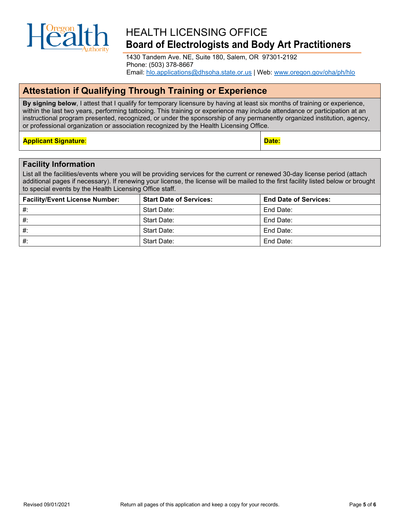

1430 Tandem Ave. NE, Suite 180, Salem, OR 97301-2192 Phone: (503) 378-8667 Email: [hlo.applications@dhsoha.state.or.us](mailto:hlo.applications@dhsoha.state.or.us) | Web: [www.oregon.gov/oha/ph/hlo](https://www.oregon.gov/oha/ph/hlo/Pages/index.aspx)

### **Attestation if Qualifying Through Training or Experience**

**By signing below**, I attest that I qualify for temporary licensure by having at least six months of training or experience, within the last two years, performing tattooing. This training or experience may include attendance or participation at an instructional program presented, recognized, or under the sponsorship of any permanently organized institution, agency, or professional organization or association recognized by the Health Licensing Office.

### **Applicant Signature**: **Date:**

#### **Facility Information**

List all the facilities/events where you will be providing services for the current or renewed 30-day license period (attach additional pages if necessary). If renewing your license, the license will be mailed to the first facility listed below or brought to special events by the Health Licensing Office staff.

| <b>Facility/Event License Number:</b> | <b>Start Date of Services:</b> | <b>End Date of Services:</b> |
|---------------------------------------|--------------------------------|------------------------------|
| #Portland Tattoo Expo 2022            | Start Date: October 7, 2022    | End Date:October 9, 2022     |
| #:                                    | Start Date:                    | End Date:                    |
| #                                     | Start Date:                    | End Date:                    |
| $#$ :                                 | Start Date:                    | End Date:                    |